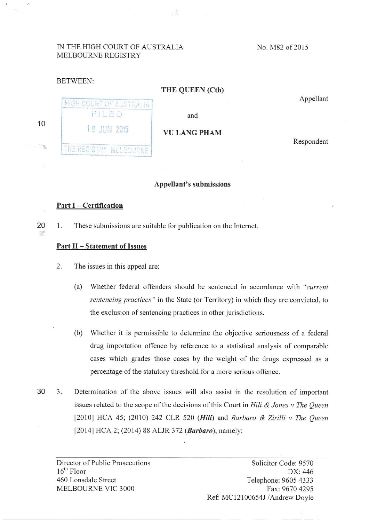## IN THE HIGH COURT OF AUSTRALIA MELBOURNE REGISTRY

HIGH COURT OF AUSTRALIA FILED

THE REGISTRY MELSOURNE

No. M82 of 2015

## BETWEEN:

## **THE QUEEN (Cth)**

A.

Appellant

and

**1 9 JUN 2015 VULANG PHAM** 

Respondent

### **Appellant's submissions**

# **Part I- Certification**

灣

**10** 

20 1. These submissions are suitable for publication on the Internet.

## **Part II- Statement of Issues**

2. The issues in this appeal are:

- (a) Whether federal offenders should be sentenced in accordance with *"current sentencing practices "* in the State (or Territory) in which they are convicted, to the exclusion of sentencing practices in other jurisdictions.
- (b) Whether it is pennissible to determine the objective seriousness of a federal drug importation offence by reference to a statistical analysis of comparable cases which grades those cases by the weight of the drugs expressed as a percentage of the statutory threshold for a more serious offence.
- 30 3. Determination of the above issues will also assist in the resolution of important issues related to the scope of the decisions of this Court in *Hili* & *Jones v The Queen*  [2010] HCA 45; (2010) 242 CLR 520 *(Hili)* and *Barbaro* & *Zirilli v The Queen*  [2014] HCA 2; (2014) 88 ALJR 372 *(Barbaro),* namely:

Director of Public Prosecutions  $16<sup>th</sup>$  Floor 460 Lonsdale Street MELBOURNE VIC 3000

Solicitor Code: 9570 DX: 446 Telephone: 9605 4333 Fax: 9670 4295 Ref: MC12100654J /Andrew Doyle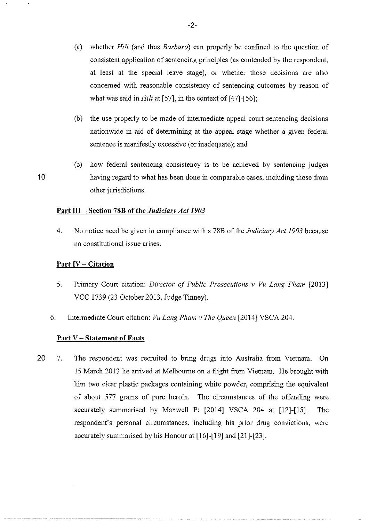- (a) whether *Hili* (and thus *Barbaro)* can properly be confined to the question of consistent application of sentencing principles (as contended by the respondent, at least at the special leave stage), or whether those decisions are also concemed with reasonable consistency of sentencing outcomes by reason of what was said in *Hili* at [57], in the context of [47]-[56];
- (b) the use properly to be made of intennediate appeal court sentencing decisions nationwide in aid of detennining at the appeal stage whether a given federal sentence is manifestly excessive (or inadequate); and
- (c) how federal sentencing consistency is to be achieved by sentencing judges **1** 0 having regard to what has been done in comparable cases, including those from other jurisdictions.

## Part III - Section 78B of the *Judiciary Act 1903*

4. No notice need be given in compliance with s 78B of the *Judiciary Act 1903* because no constitutional issue arises.

#### **Part IV- Citation**

- 5. Primary Court citation: *Director of Public Prosecutions v Vu Lang Pham* [2013] VCC 1739 (23 October 2013, Judge Tinney).
- 6. Intermediate Comi citation: *Vu Lang Pham v The Queen* [2014] VSCA 204.

#### **Part V- Statement of Facts**

20 7. The respondent was recruited to bring drugs into Australia from Vietnam. On 15 March 2013 he anived at Melboume on a flight from Vietnam. He brought with him two clear plastic packages containing white powder, comprising the equivalent of about 577 grams of pure heroin. The circumstances of the offending were accurately summarised by Maxwell P: [2014] VSCA 204 at [12]-[15]. The respondent's personal circumstances, including his prior drug convictions, were accurately summarised by his Honour at [16]-[19] and [21]-[23].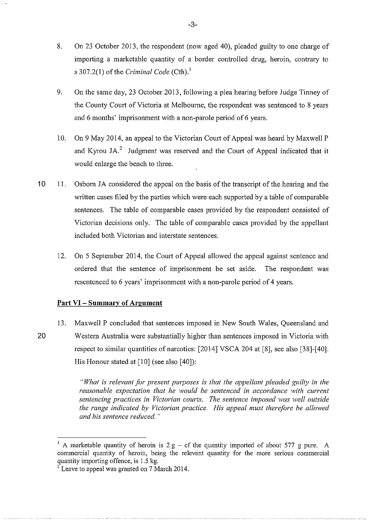- 8. On 23 October 2013, the respondent (now aged 40), pleaded guilty to one charge of importing a marketable quantity of a border controlled drug, heroin, contrary to s  $307.2(1)$  of the *Criminal Code* (Cth).<sup>1</sup>
- 9. On the same day, 23 October 2013, following a plea hearing before Judge Tinney of the County Court of Victoria at Melbourne, the respondent was sentenced to 8 years and 6 months' imprisonment with a non-parole period of 6 years.
- 10. On 9 May 2014, an appeal to the Victorian Court of Appeal was heard by Maxwell P and Kyrou JA.<sup>2</sup> Judgment was reserved and the Court of Appeal indicated that it would enlarge the bench to three.
- 10 II. Osborn JA considered the appeal on the basis of the transcript of the hearing and the written cases filed by the parties which were each supported by a table of comparable sentences. The table of comparable cases provided by the respondent consisted of Victorian decisions only. The table of comparable cases provided by the appellant included both Victorian and interstate sentences.
	- 12. On 5 September 2014, the Court of Appeal allowed the appeal against sentence and ordered that the sentence of imprisonment be set aside. The respondent was resentenced to 6 years' imprisonment with a non-parole period of 4 years.

## **Part VI - Summary of Argument**

13. Maxwell P concluded that sentences imposed in New South Wales, Queensland and 20 Western Australia were substantially higher than sentences imposed in Victoria with respect to similar quantities of narcotics: [2014] VSCA 204 at [8], see also [38]-[40]. His Honour stated at [10] (see also [40]):

> *"What is relevant for present purposes* is *that the appellant pleaded guilty in the reasonable expectation that he would be sentenced in accordance with current sentencing practices in Victorian courts. The sentence imposed was well outside the range indicated by Victorian practice. His appeal must therefore be allowed and his sentence reduced.* "

A marketable quantity of heroin is  $2 g - cf$  the quantity imported of about 577 g pure. A commercial quantity of heroin, being the relevant quantity for the more serious commercial quantity importing offence, is 1.5 kg.

 $2^2$  Leave to appeal was granted on 7 March 2014.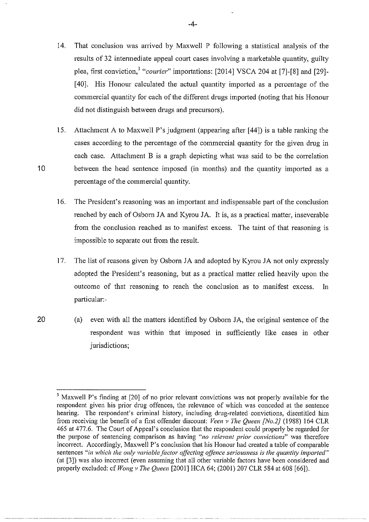- 14. That conclusion was mrived by Maxwell P following a statistical analysis of the results of 32 intermediate appeal court cases involving a marketable quantity, guilty plea. first conviction,<sup>3</sup> "courier" importations: [2014] VSCA 204 at [7]-[8] and [29]-[40]. His Honour calculated the actual quantity imported as a percentage of the commercial quantity for each of the different dmgs imported (noting that his Honour did not distinguish between dmgs and precursors).
- 15. Attachment A to Maxwell P's judgment (appearing after [44]) is a table ranking the cases according to the percentage of the commercial quantity for the given drug in each case. Attachment B is a graph depicting what was said to be the correlation 10 between the head sentence imposed (in months) and the quantity imported as a percentage of the commercial quantity.
	- 16. The President's reasoning was an important and indispensable part of the conclusion reached by each of Osborn JA and Kyrou JA. It is, as a practical matter, inseverable from the conclusion reached as to manifest excess. The taint of that reasoning is impossible to separate out from the result.
	- 17. The list of reasons given by Osbom JA and adopted by Kyrou JA not only expressly adopted the President's reasoning, but as a practical matter relied heavily upon the outcome of that reasoning to reach the conclusion as to manifest excess. In particular:-
- 20 (a) even with all the matters identified by Osborn JA, the original sentence of the respondent was within that imposed in sufficiently like cases in other jurisdictions;

<sup>&</sup>lt;sup>3</sup> Maxwell P's finding at [20] of no prior relevant convictions was not properly available for the respondent given his prior drug offences, the relevance of which was conceded at the sentence hearing. The respondent's criminal history, including drug-related convictions, disentitled him from receiving the benefit of a first offender discount: *Veen v The Queen [No.2}* (1988) 164 CLR 465 at 477.6. The Court of Appeal's conclusion that the respondent could properly be regarded for the purpose of sentencing comparison as having *"no relevant prior convictions"* was therefore incorrect. Accordingly, Maxwell P's conclusion that his Honour had created a table of comparable sentences *"in which the only variable factor affecting offence seriousness is the quantity imported"*  (at [3]) was also incorrect (even assuming that all other variable factors have been considered and properly excluded: cf *Wong v The Queen* [2001] HCA 64; (2001) 207 CLR 584 at 608 [66]).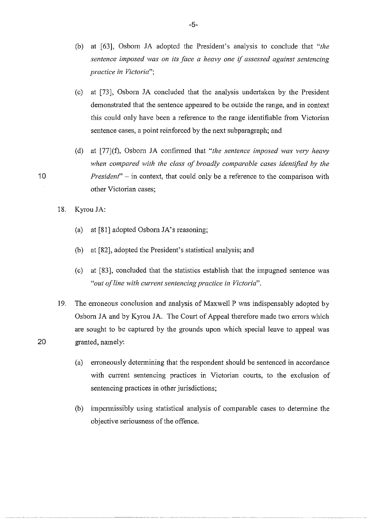- (b) at (63], Osborn JA adopted the President's analysis to conclude that *"the sentence imposed was on its face a heavy one* if *assessed against sentencing practice in Victoria";*
- (c) at  $[73]$ , Osborn JA concluded that the analysis undertaken by the President demonstrated that the sentence appeared to be outside the range, and in context this could only have been a reference to the range identifiable from Victorian sentence cases, a point reinforced by the next subparagraph; and
- (d) at [77](f), Osborn JA confirmed that "*the sentence imposed was very heavy when compared with the class of broadly comparable cases identified by the President*" – in context, that could only be a reference to the comparison with other Victorian cases;
- 18. Kyrou JA:
	- (a) at (81] adopted Osborn JA's reasoning;
	- (b) at (82], adopted the President's statistical analysis; and
	- (c) at [83], concluded that the statistics establish that the impugned sentence was *"out of line with current sentencing practice in Victoria".*
- 19. The erroneous conclusion and analysis of Maxwell P was indispensably adopted by Osborn JA and by Kyrou JA. The Court of Appeal therefore made two errors which are sought to be captured by the grounds upon which special leave to appeal was 20 granted, namely:
	- (a) erroneously detennining that the respondent should be sentenced in accordance with current sentencing practices in Victorian courts, to the exclusion of sentencing practices in other jurisdictions;
	- (b) impennissibly using statistical analysis of comparable cases to detennine the objective seriousness of the offence.

10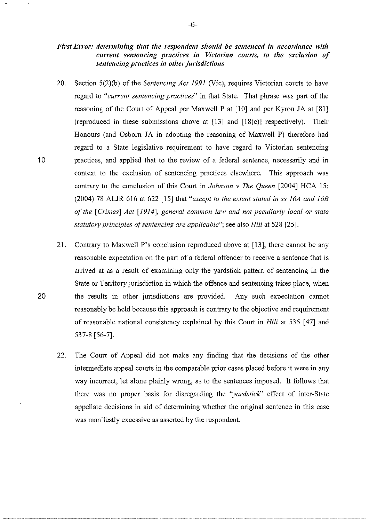## *First Error: determining that the respondent should be sentenced in accordance with current sentencing practices in Victorian courts, to the exclusion of sentencing practices in other jurisdictions*

- 20. Section 5(2)(b) of the *Sentencing Act 1991* (Vic), requires Victorian courts to have regard to *"current sentencing practices*" in that State. That phrase was part of the reasoning of the Court of Appeal per Maxwell P at [10] and per Kyrou JA at [81] (reproduced in these submissions above at [13] and [18(c)] respectively). Their Honours (and Osborn JA in adopting the reasoning of Maxwell P) therefore had regard to a State legislative requirement to have regard to Victorian sentencing 10 practices, and applied that to the review of a federal sentence, necessarily and in context to the exclusion of sentencing practices elsewhere. This approach was contrary to the conclusion of this Court in *Johnson v The Queen* [2004] HCA 15; (2004) 78 ALJR 616 at 622 [15] that *"except to the extent stated in ss 16A and 16B of the [Crimes] Act [1914], general common law and not peculiarly local or state statut01y principles of sentencing are applicable";* see also *Hili* at 528 [25].
- 21. Contrary to Maxwell P's conclusion reproduced above at [13], there cannot be any reasonable expectation on the part of a federal offender to receive a sentence that is arrived at as a result of examining only the yardstick pattern of sentencing in the State or Territory jurisdiction in which the offence and sentencing takes place, when 20 the results in other jurisdictions are provided. Any such expectation cannot reasonably be held because this approach is contrary to the objective and requirement of reasonable national consistency explained by this Court in *Hili* at 535 [ 47] and 537-8 [56-7].
	- 22. The Court of Appeal did not make any finding that the decisions of the other intermediate appeal courts in the comparable prior cases placed before it were in any way incorrect, let alone plainly wrong, as to the sentences imposed. It follows that there was no proper basis for disregarding the *"yardstick''* effect of inter-State appellate decisions in aid of detennining whether the original sentence in this case was manifestly excessive as asserted by the respondent.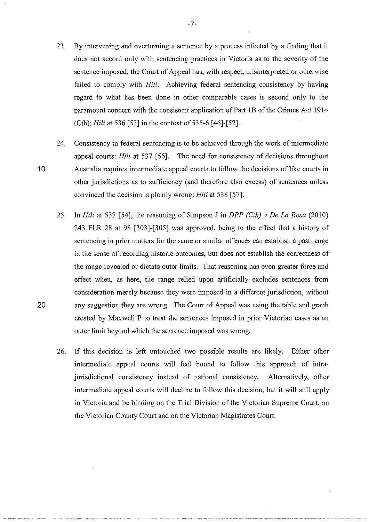23. By intervening and overturning a sentence by a process infected by a finding that it does not accord only with sentencing practices in Victoria as to the severity of the sentence imposed, the Court of Appeal has, with respect, misinterpreted or otherwise failed to comply with *Hili*. Achieving federal sentencing consistency by having regard to what has been done in other comparable cases is second only to the paramount concern with the consistent application of Part 1B of the Crimes Act 1914 (Cth): *Hili* at 536 [53] in the context of 535-6 [46]-[52].

24. Consistency in federal sentencing is to be achieved through the work of intermediate appeal courts: *Hili* at 537 [56]. The need for consistency of decisions throughout 10 Australia requires intermediate appeal courts to follow the decisions of like courts in other jurisdictions as to sufficiency (and therefore also excess) of sentences unless convinced the decision is plainly wrong: *Hili* at 538 [57].

- 25. In *Hili* at 537 [54], the reasoning of Simpson J in *DPP (Cth) v De La Rosa* (2010) 243 FLR 28 at 98 [303]-[305] was approved, being to the effect that a history of sentencing in prior matters for the same or similar offences can establish a past range in the sense of recording historic outcomes, but does not establish the conectness of the range revealed or dictate outer limits. That reasoning has even greater force and effect when, as here, the range relied upon artificially excludes sentences from consideration mereJy because they were imposed in a different jurisdiction, without 20 any suggestion they are wrong. The Court of Appeal was using the table and graph created by Maxwell P to treat the sentences imposed in prior Victorian cases as an outer limit beyond which the sentence imposed was wrong.
	- 26. If this decision is left untouched two possible results are likely. Either other intermediate appeal courts will feel bound to follow this approach of intrajurisdictional consistency instead of national consistency. Alternatively, other intermediate appeal courts will decline to follow this decision, but it will still apply in Victoria and be binding on the Trial Division of the Victorian Supreme Court, on the Victorian County Court and on the Victorian Magistrates Court.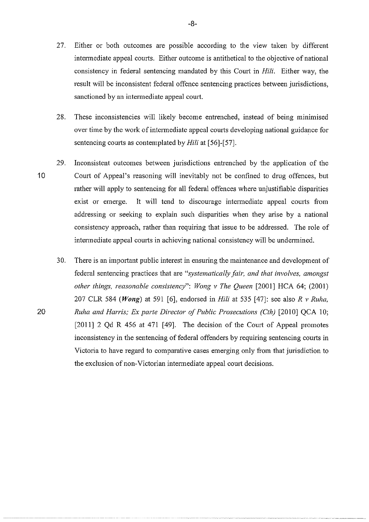- 27. Either or both outcomes are possible according to the view taken by different intermediate appeal courts. Either outcome is antithetical to the objective of national consistency in federal sentencing mandated by this Court in *Hili.* Either way, the result will be inconsistent federal offence sentencing practices between jurisdictions, sanctioned by an intermediate appeal court.
- 28. These inconsistencies will likely become entrenched, instead of being minimised over time by the work of intennediate appeal courts developing national guidance for sentencing courts as contemplated by *Hili* at [56]-[57].
- 29. Inconsistent outcomes between jurisdictions entrenched by the application of the 10 Comi of Appeal's reasoning will inevitably not be confined to drug offences, but rather will apply to sentencing for all federal offences where unjustifiable disparities exist or emerge. It will tend to discourage intermediate appeal courts from addressing or seeking to explain such disparities when they arise by a national consistency approach, rather than requiring that issue to be addressed. The role of intermediate appeal courts in achieving national consistency will be undermined.
- 30. There is an important public interest in ensuring the maintenance and development of federal sentencing practices that are *"systematically fair, and that involves, amongst other things, reasonable consistency*": *Wong v The Queen* [2001] HCA 64; (2001) 207 CLR 584 *(Wong)* at 591 [6], endorsed in *Hili* at 535 [47]: see also *R v Ruha,*  20 *Ruha and Harris; Ex parte Director of Public Prosecutions (Cth)* [2010] QCA 10; [2011] 2 Qd R 456 at 471 [49]. The decision of the Court of Appeal promotes inconsistency in the sentencing of federal offenders by requiring sentencing courts in Victoria to have regard to comparative cases emerging only from that jurisdiction to the exclusion of non-Victorian intennediate appeal court decisions.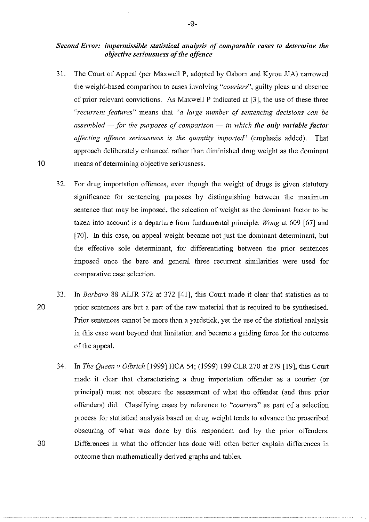## *Second Error: impermissible statistical analysis of comparable cases to determine the objective seriousness of the offence*

- 31. The Court of Appeal (per Maxwell P, adopted by Osborn and Kyrou JJA) narrowed the weight-based comparison to cases involving *"couriers",* guilty pleas and absence of prior relevant convictions. As Maxwell P indicated at [3], the use of these three *"recurrent features"* means that *"a large number of sentencing decisions can be assembled -for the purposes of comparison* - *in which the only variable factor affecting offence seriousness is the quantity imported"* (emphasis added). That approach deliberately enhanced rather than diminished drug weight as the dominant 10 means of detennining objective seriousness.
	- 32. For drug impotiation offences, even though the weight of drugs is given statutory significance for sentencing purposes by distinguishing between the maximum sentence that may be imposed, the selection of weight as the dominant factor to be taken into account is a departure from fundamental principle: *Wong* at 609 [67] and [70]. In this case, on appeal weight became not just the dominant determinant, but the effective sole determinant, for differentiating between the prior sentences imposed once the bare and general three recurrent similarities were used for comparative case selection.
- 33. In *Barbaro* 88 ALJR 372 at 372 [41], this Court made it clear that statistics as to 20 prior sentences are but a part of the raw material that is required to be synthesised. Prior sentences cannot be more than a yardstick, yet the use of the statistical analysis in this case went beyond that limitation and became a guiding force for the outcome of the appeal.
- 34. In *The Queen v Olbrich* [1999] HCA 54; (1999) 199 CLR 270 at 279 [19], this Court made it clear that characterising a drug importation offender as a courier (or principal) must not obscure the assessment of what the offender (and thus prior offenders) did. Classifying cases by reference to *"couriers"* as pati of a selection process for statistical analysis based on drug weight tends to advance the proscribed obscuring of what was done by this respondent and by the prior offenders. 30 Differences in what the offender has done will often better explain differences in outcome than mathematically derived graphs and tables.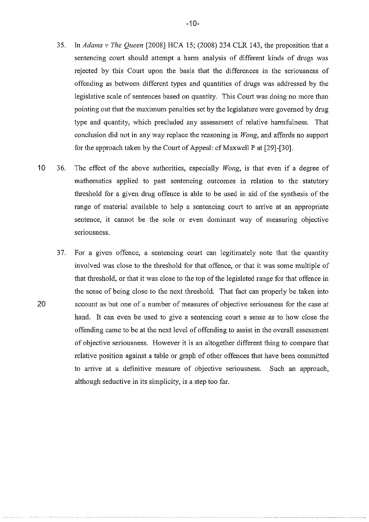- 35. In *Adams v The Queen* [2008] HCA 15; (2008) 234 CLR 143, the proposition that a sentencing court should attempt a harm analysis of different kinds of drugs was rejected by this Court upon the basis that the differences in the seriousness of offending as between different types and quantities of drugs was addressed by the legislative scale of sentences based on quantity. This Court was doing no more than pointing out that the maximum penalties set by the legislature were governed by drug type and quantity, which precluded any assessment of relative hannfulness. That conclusion did not in any way replace the reasoning in *Wong,* and affords no support for the approach taken by the Court of Appeal: cf Maxwell P at [29]-[30].
- 10 36. The effect of the above authorities, especially *Wong,* is that even if a degree of mathematics applied to past sentencing outcomes in relation to the statutory threshold for a given drug offence is able to be used in aid of the synthesis of the range of material available to help a sentencing court to arrive at an appropriate sentence, it cannot be the sole or even dominant way of measuring objective seriousness.
- 37. For a given offence, a sentencing court can legitimately note that the quantity involved was close to the threshold for that offence, or that it was some multiple of that threshold, or that it was close to the top of the legislated range for that offence in the sense of being close to the next threshold. That fact can properly be taken into 20 account as but one of a number of measures of objective seriousness for the case at hand. It can even be used to give a sentencing court a sense as to how close the offending came to be at the next level of offending to assist in the overall assessment of objective seriousness. However it is an altogether different thing to compare that relative position against a table or graph of other offences that have been committed to arrive at a definitive measure of objective seriousness. Such an approach, although seductive in its simplicity, is a step too far.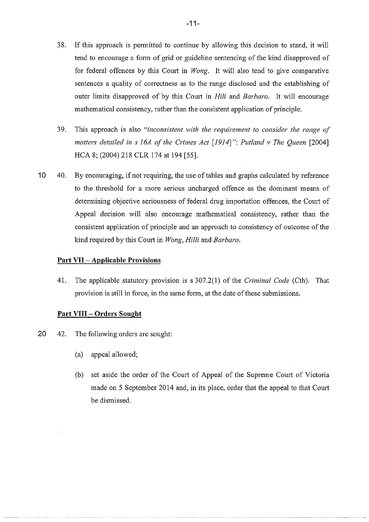- 38. If this approach is permitted to continue by allowing this decision to stand, it will tend to encourage a form of grid or guideline sentencing of the kind disapproved of for federal offences by this Court in *Wong*. It will also tend to give comparative sentences a quality of correctness as to the range disclosed and the establishing of outer limits disapproved of by this Court in *Hili* and *Barbaro*. It will encourage mathematical consistency, rather than the consistent application of principle.
- 39. This approach is also *"inconsistent with the requirement to consider the range of matters detailed in s 16A of the Crimes Act [1914]": Putland v The Queen [2004]* HCA 8; (2004) 218 CLR 174 at 194 [55].
- 10 40. By encouraging, if not requiring, the use of tables and graphs calculated by reference to the threshold for a more serious uncharged offence as the dominant means of determining objective seriousness of federal drug importation offences, the Court of Appeal decision will also encourage mathematical consistency, rather than the consistent application of principle and an approach to consistency of outcome of the kind required by this Court in *Wong, Hilli* and *Barbaro.*

## **Part VII- Applicable Provisions**

41. The applicable statutory provision is s 307.2(1) of the *Criminal Code* (Cth). That provision is still in force, in the same form, at the date of these submissions.

## **Part VIII - Orders Sought**

- 20 42. The following orders are sought:
	- (a) appeal allowed;
	- (b) set aside the order of the Court of Appeal of the Supreme Court of Victoria made on 5 September 2014 and, in its place, order that the appeal to that Court be dismissed.